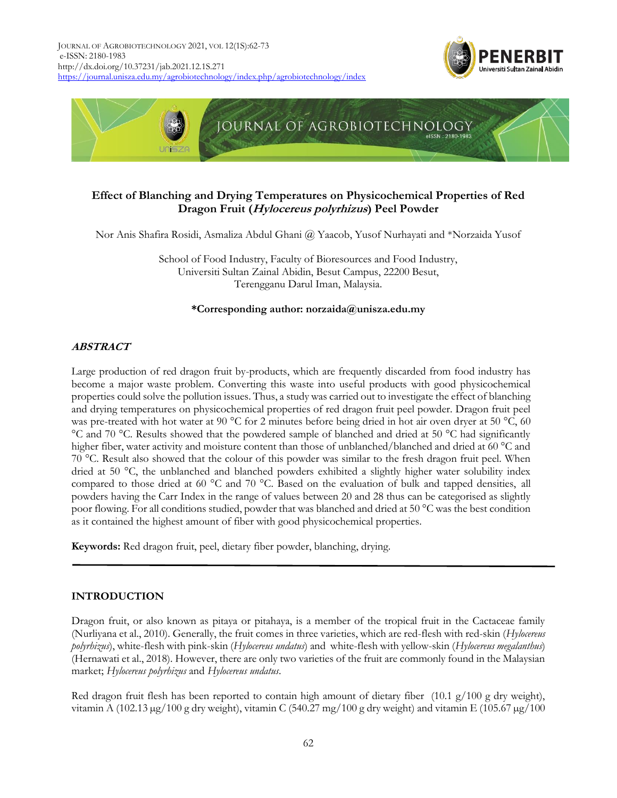



# **Effect of Blanching and Drying Temperatures on Physicochemical Properties of Red Dragon Fruit (Hylocereus polyrhizus) Peel Powder**

Nor Anis Shafira Rosidi, Asmaliza Abdul Ghani @ Yaacob, Yusof Nurhayati and \*Norzaida Yusof

School of Food Industry, Faculty of Bioresources and Food Industry, Universiti Sultan Zainal Abidin, Besut Campus, 22200 Besut, Terengganu Darul Iman, Malaysia.

## **\*Corresponding author: norzaida@unisza.edu.my**

# **ABSTRACT**

Large production of red dragon fruit by-products, which are frequently discarded from food industry has become a major waste problem. Converting this waste into useful products with good physicochemical properties could solve the pollution issues. Thus, a study was carried out to investigate the effect of blanching and drying temperatures on physicochemical properties of red dragon fruit peel powder. Dragon fruit peel was pre-treated with hot water at 90 °C for 2 minutes before being dried in hot air oven dryer at 50 °C, 60 °C and 70 °C. Results showed that the powdered sample of blanched and dried at 50 °C had significantly higher fiber, water activity and moisture content than those of unblanched/blanched and dried at 60 °C and 70 °C. Result also showed that the colour of this powder was similar to the fresh dragon fruit peel. When dried at 50 °C, the unblanched and blanched powders exhibited a slightly higher water solubility index compared to those dried at 60 °C and 70 °C. Based on the evaluation of bulk and tapped densities, all powders having the Carr Index in the range of values between 20 and 28 thus can be categorised as slightly poor flowing. For all conditions studied, powder that was blanched and dried at 50 °C was the best condition as it contained the highest amount of fiber with good physicochemical properties.

**Keywords:** Red dragon fruit, peel, dietary fiber powder, blanching, drying.

# **INTRODUCTION**

Dragon fruit, or also known as pitaya or pitahaya, is a member of the tropical fruit in the Cactaceae family (Nurliyana et al., 2010). Generally, the fruit comes in three varieties, which are red-flesh with red-skin (*Hylocereus polyrhizus*), white-flesh with pink-skin (*Hylocereus undatus*) and white-flesh with yellow-skin (*Hylocereus megalanthus*) (Hernawati et al., 2018). However, there are only two varieties of the fruit are commonly found in the Malaysian market; *Hylocereus polyrhizus* and *Hylocereus undatus*.

Red dragon fruit flesh has been reported to contain high amount of dietary fiber  $(10.1 \text{ g}/100 \text{ g dry weight})$ , vitamin A (102.13 µg/100 g dry weight), vitamin C (540.27 mg/100 g dry weight) and vitamin E (105.67 µg/100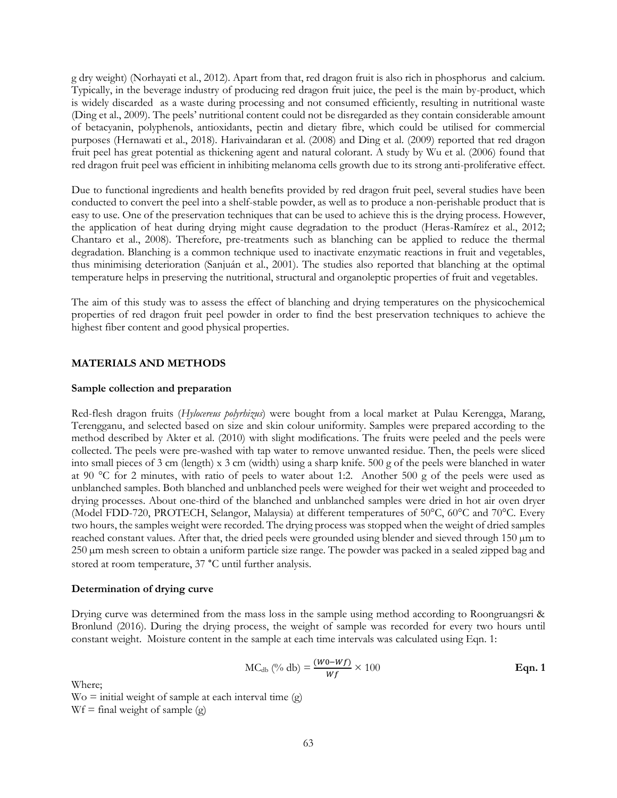g dry weight) (Norhayati et al., 2012). Apart from that, red dragon fruit is also rich in phosphorus and calcium. Typically, in the beverage industry of producing red dragon fruit juice, the peel is the main by-product, which is widely discarded as a waste during processing and not consumed efficiently, resulting in nutritional waste (Ding et al., 2009). The peels' nutritional content could not be disregarded as they contain considerable amount of betacyanin, polyphenols, antioxidants, pectin and dietary fibre, which could be utilised for commercial purposes (Hernawati et al., 2018). Harivaindaran et al. (2008) and Ding et al. (2009) reported that red dragon fruit peel has great potential as thickening agent and natural colorant. A study by Wu et al. (2006) found that red dragon fruit peel was efficient in inhibiting melanoma cells growth due to its strong anti-proliferative effect.

Due to functional ingredients and health benefits provided by red dragon fruit peel, several studies have been conducted to convert the peel into a shelf-stable powder, as well as to produce a non-perishable product that is easy to use. One of the preservation techniques that can be used to achieve this is the drying process. However, the application of heat during drying might cause degradation to the product (Heras-Ramírez et al., 2012; Chantaro et al., 2008). Therefore, pre-treatments such as blanching can be applied to reduce the thermal degradation. Blanching is a common technique used to inactivate enzymatic reactions in fruit and vegetables, thus minimising deterioration (Sanjuán et al., 2001). The studies also reported that blanching at the optimal temperature helps in preserving the nutritional, structural and organoleptic properties of fruit and vegetables.

The aim of this study was to assess the effect of blanching and drying temperatures on the physicochemical properties of red dragon fruit peel powder in order to find the best preservation techniques to achieve the highest fiber content and good physical properties.

## **MATERIALS AND METHODS**

### **Sample collection and preparation**

Red-flesh dragon fruits (*Hylocereus polyrhizus*) were bought from a local market at Pulau Kerengga, Marang, Terengganu, and selected based on size and skin colour uniformity. Samples were prepared according to the method described by Akter et al. (2010) with slight modifications. The fruits were peeled and the peels were collected. The peels were pre-washed with tap water to remove unwanted residue. Then, the peels were sliced into small pieces of 3 cm (length) x 3 cm (width) using a sharp knife. 500 g of the peels were blanched in water at 90 °C for 2 minutes, with ratio of peels to water about 1:2. Another 500 g of the peels were used as unblanched samples. Both blanched and unblanched peels were weighed for their wet weight and proceeded to drying processes. About one-third of the blanched and unblanched samples were dried in hot air oven dryer (Model FDD-720, PROTECH, Selangor, Malaysia) at different temperatures of 50°C, 60°C and 70°C. Every two hours, the samples weight were recorded. The drying process was stopped when the weight of dried samples reached constant values. After that, the dried peels were grounded using blender and sieved through 150 µm to 250 µm mesh screen to obtain a uniform particle size range. The powder was packed in a sealed zipped bag and stored at room temperature, 37 °C until further analysis.

#### **Determination of drying curve**

Drying curve was determined from the mass loss in the sample using method according to Roongruangsri & Bronlund (2016). During the drying process, the weight of sample was recorded for every two hours until constant weight. Moisture content in the sample at each time intervals was calculated using Eqn. 1:

$$
MC_{db} \left(\%\ db\right) = \frac{(W_0 - Wf)}{Wf} \times 100
$$
 \t\t Eqn. 1

Where;

 $\text{Wo} = \text{initial weight of sample at each interval time (g)}$  $Wf = \text{final weight of sample (g)}$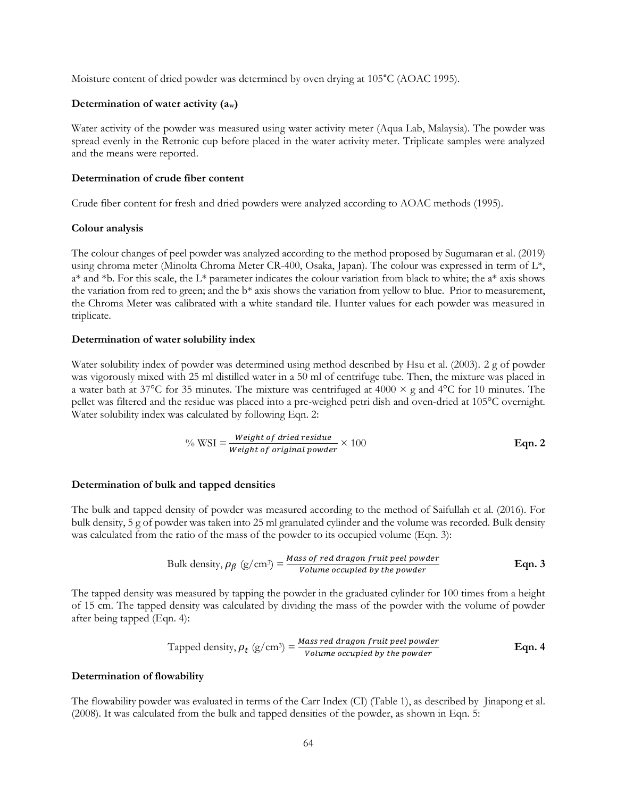Moisture content of dried powder was determined by oven drying at 105°C (AOAC 1995).

#### **Determination of water activity (aw)**

Water activity of the powder was measured using water activity meter (Aqua Lab, Malaysia). The powder was spread evenly in the Retronic cup before placed in the water activity meter. Triplicate samples were analyzed and the means were reported.

#### **Determination of crude fiber content**

Crude fiber content for fresh and dried powders were analyzed according to AOAC methods (1995).

#### **Colour analysis**

The colour changes of peel powder was analyzed according to the method proposed by Sugumaran et al. (2019) using chroma meter (Minolta Chroma Meter CR-400, Osaka, Japan). The colour was expressed in term of L\*,  $a^*$  and  $*b$ . For this scale, the L\* parameter indicates the colour variation from black to white; the  $a^*$  axis shows the variation from red to green; and the b\* axis shows the variation from yellow to blue. Prior to measurement, the Chroma Meter was calibrated with a white standard tile. Hunter values for each powder was measured in triplicate.

#### **Determination of water solubility index**

Water solubility index of powder was determined using method described by Hsu et al. (2003). 2 g of powder was vigorously mixed with 25 ml distilled water in a 50 ml of centrifuge tube. Then, the mixture was placed in a water bath at 37°C for 35 minutes. The mixture was centrifuged at 4000  $\times$  g and 4°C for 10 minutes. The pellet was filtered and the residue was placed into a pre-weighed petri dish and oven-dried at 105°C overnight. Water solubility index was calculated by following Eqn. 2:

$$
\% \text{WSI} = \frac{\text{Weight of dried residue}}{\text{Weight of original powder}} \times 100 \qquad \qquad \text{Eqn. 2}
$$

#### **Determination of bulk and tapped densities**

The bulk and tapped density of powder was measured according to the method of Saifullah et al. (2016). For bulk density, 5 g of powder was taken into 25 ml granulated cylinder and the volume was recorded. Bulk density was calculated from the ratio of the mass of the powder to its occupied volume (Eqn. 3):

Bulk density, 
$$
\rho_{\beta}
$$
 (g/cm<sup>3</sup>) =  $\frac{Mass\ of\ red\ drag\ on\ fruit\ peel\ powder}{Volume\ occupied\ by\ the\ powder}$  Eqn. 3

The tapped density was measured by tapping the powder in the graduated cylinder for 100 times from a height of 15 cm. The tapped density was calculated by dividing the mass of the powder with the volume of powder after being tapped (Eqn. 4):

Tapped density, 
$$
\rho_t
$$
 (g/cm<sup>3</sup>) =  $\frac{Mass \text{ red \, dragon \, fruit \, pel \, powder}}{Volume \, occupied \, by \, the \, powder}$  Eqn. 4

#### **Determination of flowability**

The flowability powder was evaluated in terms of the Carr Index (CI) (Table 1), as described by Jinapong et al. (2008). It was calculated from the bulk and tapped densities of the powder, as shown in Eqn. 5: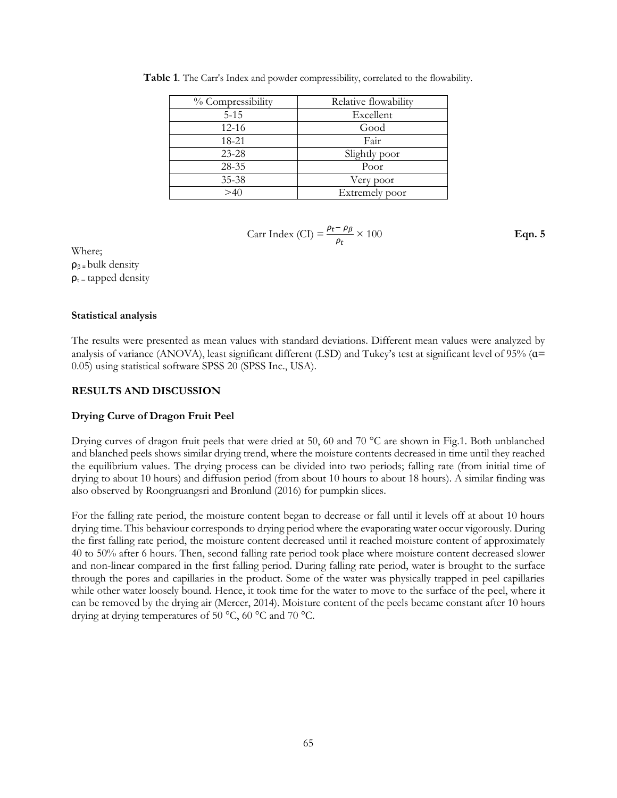| % Compressibility | Relative flowability |
|-------------------|----------------------|
| $5 - 15$          | Excellent            |
| $12 - 16$         | Good                 |
| 18-21             | Fair                 |
| $23 - 28$         | Slightly poor        |
| $28 - 35$         | Poor                 |
| 35-38             | Very poor            |
| >40               | Extremely poor       |

**Table 1**. The Carr's Index and powder compressibility, correlated to the flowability.

$$
Carr Index (CI) = \frac{\rho_t - \rho_\beta}{\rho_t} \times 100
$$
 **Eqn. 5**

Where;  $\rho_{\beta}$  = bulk density  $\rho_t$  = tapped density

### **Statistical analysis**

The results were presented as mean values with standard deviations. Different mean values were analyzed by analysis of variance (ANOVA), least significant different (LSD) and Tukey's test at significant level of 95% (a= 0.05) using statistical software SPSS 20 (SPSS Inc., USA).

## **RESULTS AND DISCUSSION**

## **Drying Curve of Dragon Fruit Peel**

Drying curves of dragon fruit peels that were dried at 50, 60 and 70 °C are shown in Fig.1. Both unblanched and blanched peels shows similar drying trend, where the moisture contents decreased in time until they reached the equilibrium values. The drying process can be divided into two periods; falling rate (from initial time of drying to about 10 hours) and diffusion period (from about 10 hours to about 18 hours). A similar finding was also observed by Roongruangsri and Bronlund (2016) for pumpkin slices.

For the falling rate period, the moisture content began to decrease or fall until it levels off at about 10 hours drying time. This behaviour corresponds to drying period where the evaporating water occur vigorously. During the first falling rate period, the moisture content decreased until it reached moisture content of approximately 40 to 50% after 6 hours. Then, second falling rate period took place where moisture content decreased slower and non-linear compared in the first falling period. During falling rate period, water is brought to the surface through the pores and capillaries in the product. Some of the water was physically trapped in peel capillaries while other water loosely bound. Hence, it took time for the water to move to the surface of the peel, where it can be removed by the drying air (Mercer, 2014). Moisture content of the peels became constant after 10 hours drying at drying temperatures of 50 °C, 60 °C and 70 °C.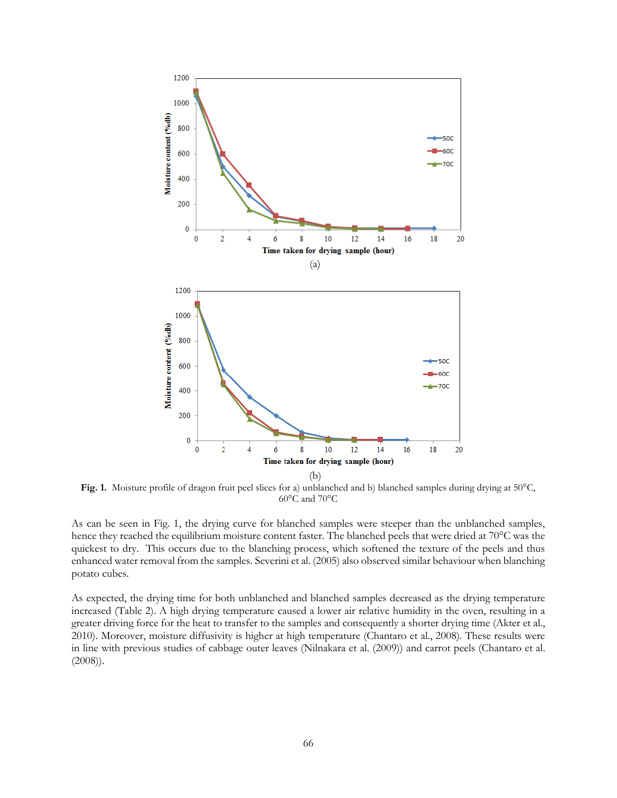

**Fig. 1.** Moisture profile of dragon fruit peel slices for a) unblanched and b) blanched samples during drying at 50°C, 60°C and 70°C

As can be seen in Fig. 1, the drying curve for blanched samples were steeper than the unblanched samples, hence they reached the equilibrium moisture content faster. The blanched peels that were dried at 70<sup>°</sup>C was the quickest to dry. This occurs due to the blanching process, which softened the texture of the peels and thus enhanced water removal from the samples. Severini et al. (2005) also observed similar behaviour when blanching potato cubes.

As expected, the drying time for both unblanched and blanched samples decreased as the drying temperature increased (Table 2). A high drying temperature caused a lower air relative humidity in the oven, resulting in a greater driving force for the heat to transfer to the samples and consequently a shorter drying time (Akter et al., 2010). Moreover, moisture diffusivity is higher at high temperature (Chantaro et al., 2008). These results were in line with previous studies of cabbage outer leaves (Nilnakara et al. (2009)) and carrot peels (Chantaro et al. (2008)).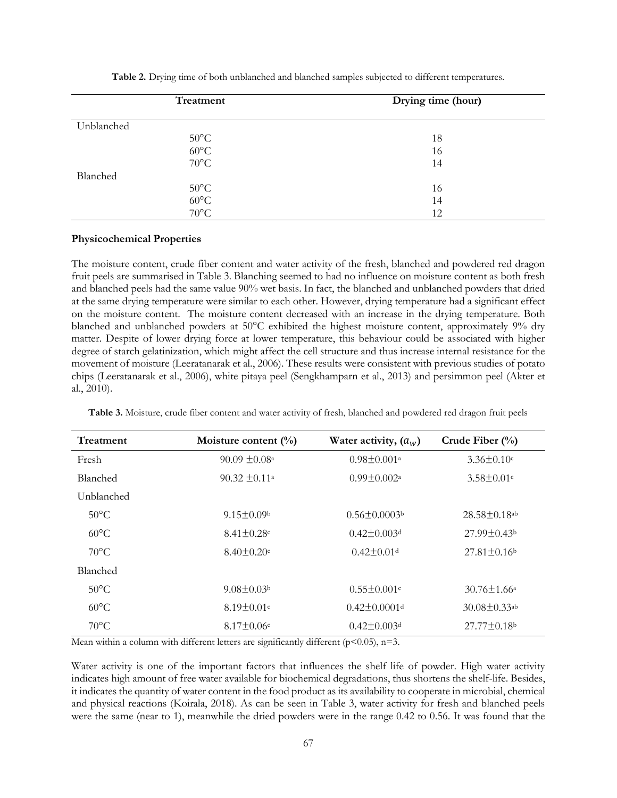| Treatment      | Drying time (hour) |
|----------------|--------------------|
| Unblanched     |                    |
| $50^{\circ}$ C | 18                 |
| $60^{\circ}$ C | 16                 |
| $70^{\circ}$ C | 14                 |
| Blanched       |                    |
| $50^{\circ}$ C | 16                 |
| $60^{\circ}$ C | 14                 |
| $70^{\circ}$ C | 12                 |

**Table 2.** Drying time of both unblanched and blanched samples subjected to different temperatures.

#### **Physicochemical Properties**

The moisture content, crude fiber content and water activity of the fresh, blanched and powdered red dragon fruit peels are summarised in Table 3. Blanching seemed to had no influence on moisture content as both fresh and blanched peels had the same value 90% wet basis. In fact, the blanched and unblanched powders that dried at the same drying temperature were similar to each other. However, drying temperature had a significant effect on the moisture content. The moisture content decreased with an increase in the drying temperature. Both blanched and unblanched powders at 50°C exhibited the highest moisture content, approximately 9% dry matter. Despite of lower drying force at lower temperature, this behaviour could be associated with higher degree of starch gelatinization, which might affect the cell structure and thus increase internal resistance for the movement of moisture (Leeratanarak et al., 2006). These results were consistent with previous studies of potato chips (Leeratanarak et al., 2006), white pitaya peel (Sengkhamparn et al., 2013) and persimmon peel (Akter et al., 2010).

| Treatment       | Moisture content $(\%)$       | Water activity, $(a_w)$        | Crude Fiber $(\frac{0}{0})$    |
|-----------------|-------------------------------|--------------------------------|--------------------------------|
| Fresh           | $90.09 \pm 0.08$ <sup>a</sup> | $0.98 \pm 0.001$ <sup>a</sup>  | $3.36 \pm 0.10$ c              |
| <b>Blanched</b> | $90.32 \pm 0.11a$             | $0.99 \pm 0.002$ <sup>a</sup>  | $3.58 \pm 0.01$ c              |
| Unblanched      |                               |                                |                                |
| $50^{\circ}$ C  | $9.15 \pm 0.09$               | $0.56 \pm 0.0003$              | $28.58 \pm 0.18$ <sup>ab</sup> |
| $60^{\circ}$ C  | $8.41 \pm 0.28$ c             | $0.42 \pm 0.003$ d             | $27.99 \pm 0.43$               |
| $70^{\circ}$ C  | $8.40 \pm 0.20$ c             | $0.42 \pm 0.01$ <sup>d</sup>   | $27.81 \pm 0.16$               |
| Blanched        |                               |                                |                                |
| $50^{\circ}$ C  | $9.08 \pm 0.03b$              | $0.55 \pm 0.001$ c             | $30.76 \pm 1.66^{\circ}$       |
| $60^{\circ}$ C  | $8.19 \pm 0.01$ c             | $0.42 \pm 0.0001$ <sup>d</sup> | $30.08 \pm 0.33$ <sup>ab</sup> |
| $70^{\circ}$ C  | $8.17 \pm 0.06$ c             | $0.42 \pm 0.003$ <sup>d</sup>  | $27.77 \pm 0.18$ <sup>b</sup>  |

**Table 3.** Moisture, crude fiber content and water activity of fresh, blanched and powdered red dragon fruit peels

Mean within a column with different letters are significantly different ( $p$ <0.05),  $n=3$ .

Water activity is one of the important factors that influences the shelf life of powder. High water activity indicates high amount of free water available for biochemical degradations, thus shortens the shelf-life. Besides, it indicates the quantity of water content in the food product as its availability to cooperate in microbial, chemical and physical reactions (Koirala, 2018). As can be seen in Table 3, water activity for fresh and blanched peels were the same (near to 1), meanwhile the dried powders were in the range 0.42 to 0.56. It was found that the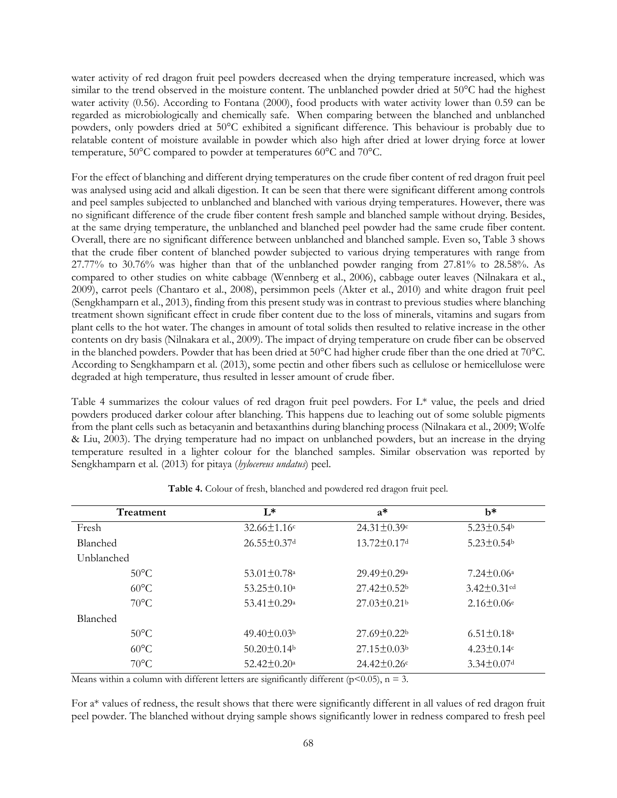water activity of red dragon fruit peel powders decreased when the drying temperature increased, which was similar to the trend observed in the moisture content. The unblanched powder dried at 50°C had the highest water activity (0.56). According to Fontana (2000), food products with water activity lower than 0.59 can be regarded as microbiologically and chemically safe. When comparing between the blanched and unblanched powders, only powders dried at 50°C exhibited a significant difference. This behaviour is probably due to relatable content of moisture available in powder which also high after dried at lower drying force at lower temperature, 50°C compared to powder at temperatures 60°C and 70°C.

For the effect of blanching and different drying temperatures on the crude fiber content of red dragon fruit peel was analysed using acid and alkali digestion. It can be seen that there were significant different among controls and peel samples subjected to unblanched and blanched with various drying temperatures. However, there was no significant difference of the crude fiber content fresh sample and blanched sample without drying. Besides, at the same drying temperature, the unblanched and blanched peel powder had the same crude fiber content. Overall, there are no significant difference between unblanched and blanched sample. Even so, Table 3 shows that the crude fiber content of blanched powder subjected to various drying temperatures with range from 27.77% to 30.76% was higher than that of the unblanched powder ranging from 27.81% to 28.58%. As compared to other studies on white cabbage (Wennberg et al., 2006), cabbage outer leaves (Nilnakara et al., 2009), carrot peels (Chantaro et al., 2008), persimmon peels (Akter et al., 2010) and white dragon fruit peel (Sengkhamparn et al., 2013), finding from this present study was in contrast to previous studies where blanching treatment shown significant effect in crude fiber content due to the loss of minerals, vitamins and sugars from plant cells to the hot water. The changes in amount of total solids then resulted to relative increase in the other contents on dry basis (Nilnakara et al., 2009). The impact of drying temperature on crude fiber can be observed in the blanched powders. Powder that has been dried at 50°C had higher crude fiber than the one dried at 70°C. According to Sengkhamparn et al. (2013), some pectin and other fibers such as cellulose or hemicellulose were degraded at high temperature, thus resulted in lesser amount of crude fiber.

Table 4 summarizes the colour values of red dragon fruit peel powders. For L\* value, the peels and dried powders produced darker colour after blanching. This happens due to leaching out of some soluble pigments from the plant cells such as betacyanin and betaxanthins during blanching process (Nilnakara et al., 2009; Wolfe & Liu, 2003). The drying temperature had no impact on unblanched powders, but an increase in the drying temperature resulted in a lighter colour for the blanched samples. Similar observation was reported by Sengkhamparn et al. (2013) for pitaya (*hylocereus undatus*) peel.

| Treatment       | $L^*$                         | $a^*$                    | h*                      |
|-----------------|-------------------------------|--------------------------|-------------------------|
| Fresh           | $32.66 \pm 1.16$ c            | $24.31 \pm 0.39$ c       | $5.23 \pm 0.54$         |
| <b>Blanched</b> | $26.55 \pm 0.37$ d            | $13.72 \pm 0.17$ d       | $5.23 \pm 0.54$         |
| Unblanched      |                               |                          |                         |
| $50^{\circ}$ C  | $53.01 \pm 0.78$ <sup>a</sup> | $29.49 \pm 0.29^{\circ}$ | $7.24 \pm 0.06^{\circ}$ |
| $60^{\circ}$ C  | $53.25 \pm 0.10^{\circ}$      | $27.42 \pm 0.52$         | $3.42 \pm 0.31$ cd      |
| $70^{\circ}$ C  | $53.41 \pm 0.29$ <sup>a</sup> | $27.03 \pm 0.21$         | $2.16 \pm 0.06$ e       |
| <b>Blanched</b> |                               |                          |                         |
| $50^{\circ}$ C  | $49.40 \pm 0.03b$             | $27.69 \pm 0.22$         | $6.51 \pm 0.18^{\circ}$ |
| $60^{\circ}$ C  | $50.20 \pm 0.14$              | $27.15 \pm 0.03$         | $4.23 \pm 0.14$ c       |
| $70^{\circ}$ C  | $52.42 \pm 0.20$ <sup>a</sup> | $24.42 \pm 0.26$ c       | $3.34 \pm 0.07$ d       |

**Table 4.** Colour of fresh, blanched and powdered red dragon fruit peel.

Means within a column with different letters are significantly different ( $p$ <0.05),  $n = 3$ .

For a\* values of redness, the result shows that there were significantly different in all values of red dragon fruit peel powder. The blanched without drying sample shows significantly lower in redness compared to fresh peel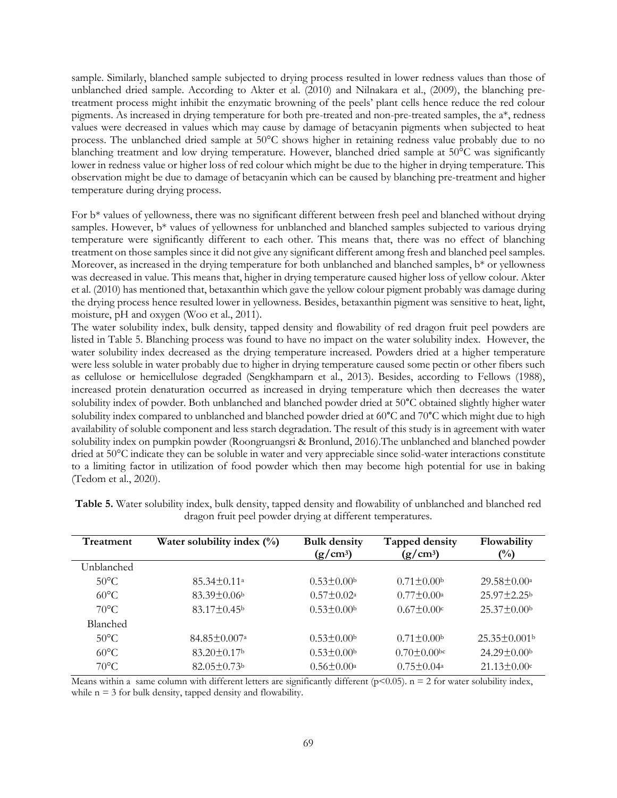sample. Similarly, blanched sample subjected to drying process resulted in lower redness values than those of unblanched dried sample. According to Akter et al. (2010) and Nilnakara et al., (2009), the blanching pretreatment process might inhibit the enzymatic browning of the peels' plant cells hence reduce the red colour pigments. As increased in drying temperature for both pre-treated and non-pre-treated samples, the a\*, redness values were decreased in values which may cause by damage of betacyanin pigments when subjected to heat process. The unblanched dried sample at 50°C shows higher in retaining redness value probably due to no blanching treatment and low drying temperature. However, blanched dried sample at 50°C was significantly lower in redness value or higher loss of red colour which might be due to the higher in drying temperature. This observation might be due to damage of betacyanin which can be caused by blanching pre-treatment and higher temperature during drying process.

For b\* values of yellowness, there was no significant different between fresh peel and blanched without drying samples. However, b\* values of yellowness for unblanched and blanched samples subjected to various drying temperature were significantly different to each other. This means that, there was no effect of blanching treatment on those samples since it did not give any significant different among fresh and blanched peel samples. Moreover, as increased in the drying temperature for both unblanched and blanched samples, b<sup>\*</sup> or yellowness was decreased in value. This means that, higher in drying temperature caused higher loss of yellow colour. Akter et al. (2010) has mentioned that, betaxanthin which gave the yellow colour pigment probably was damage during the drying process hence resulted lower in yellowness. Besides, betaxanthin pigment was sensitive to heat, light, moisture, pH and oxygen (Woo et al., 2011).

The water solubility index, bulk density, tapped density and flowability of red dragon fruit peel powders are listed in Table 5. Blanching process was found to have no impact on the water solubility index. However, the water solubility index decreased as the drying temperature increased. Powders dried at a higher temperature were less soluble in water probably due to higher in drying temperature caused some pectin or other fibers such as cellulose or hemicellulose degraded (Sengkhamparn et al., 2013). Besides, according to Fellows (1988), increased protein denaturation occurred as increased in drying temperature which then decreases the water solubility index of powder. Both unblanched and blanched powder dried at 50°C obtained slightly higher water solubility index compared to unblanched and blanched powder dried at 60°C and 70°C which might due to high availability of soluble component and less starch degradation. The result of this study is in agreement with water solubility index on pumpkin powder (Roongruangsri & Bronlund, 2016).The unblanched and blanched powder dried at 50°C indicate they can be soluble in water and very appreciable since solid-water interactions constitute to a limiting factor in utilization of food powder which then may become high potential for use in baking (Tedom et al., 2020).

| Treatment       | Water solubility index $(\%)$  | <b>Bulk density</b><br>$(g/cm^3)$ | Tapped density<br>$(g/cm^3)$ | Flowability<br>$\binom{0}{0}$  |
|-----------------|--------------------------------|-----------------------------------|------------------------------|--------------------------------|
| Unblanched      |                                |                                   |                              |                                |
| $50^{\circ}$ C  | $85.34 \pm 0.11^{\circ}$       | $0.53 \pm 0.00$                   | $0.71 \pm 0.00$              | $29.58 \pm 0.00^{\circ}$       |
| $60^{\circ}$ C  | $83.39 \pm 0.06$               | $0.57 \pm 0.02^a$                 | $0.77 \pm 0.00a$             | $25.97 \pm 2.25$               |
| $70^{\circ}$ C  | $83.17 \pm 0.45$               | $0.53 \pm 0.00$                   | $0.67 \pm 0.00c$             | $25.37 \pm 0.00$               |
| <b>Blanched</b> |                                |                                   |                              |                                |
| $50^{\circ}$ C  | $84.85 \pm 0.007$ <sup>a</sup> | $0.53 \pm 0.00$                   | $0.71 \pm 0.00$              | $25.35 \pm 0.001$ <sup>b</sup> |
| $60^{\circ}$ C  | $83.20 \pm 0.17$               | $0.53 \pm 0.00$                   | $0.70 \pm 0.00$ bc           | $24.29 \pm 0.00$               |
| $70^{\circ}$ C  | $82.05 \pm 0.73$ <sup>b</sup>  | $0.56 \pm 0.00^a$                 | $0.75 \pm 0.04^{\circ}$      | $21.13 \pm 0.00$ c             |

**Table 5.** Water solubility index, bulk density, tapped density and flowability of unblanched and blanched red dragon fruit peel powder drying at different temperatures.

Means within a same column with different letters are significantly different ( $p$ <0.05).  $n = 2$  for water solubility index, while  $n = 3$  for bulk density, tapped density and flowability.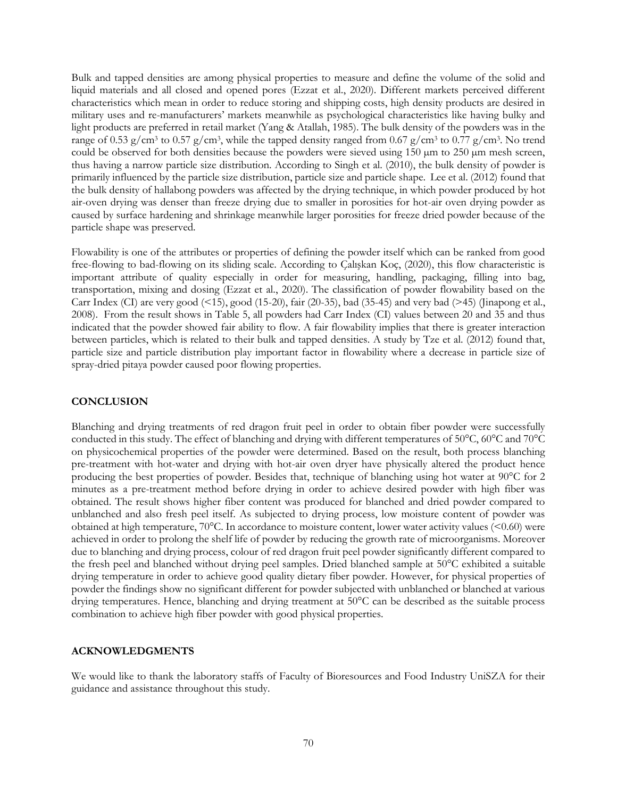Bulk and tapped densities are among physical properties to measure and define the volume of the solid and liquid materials and all closed and opened pores (Ezzat et al., 2020). Different markets perceived different characteristics which mean in order to reduce storing and shipping costs, high density products are desired in military uses and re-manufacturers' markets meanwhile as psychological characteristics like having bulky and light products are preferred in retail market (Yang & Atallah, 1985). The bulk density of the powders was in the range of 0.53 g/cm<sup>3</sup> to 0.57 g/cm<sup>3</sup>, while the tapped density ranged from 0.67 g/cm<sup>3</sup> to 0.77 g/cm<sup>3</sup>. No trend could be observed for both densities because the powders were sieved using  $150 \mu m$  to  $250 \mu m$  mesh screen, thus having a narrow particle size distribution. According to Singh et al. (2010), the bulk density of powder is primarily influenced by the particle size distribution, particle size and particle shape. Lee et al. (2012) found that the bulk density of hallabong powders was affected by the drying technique, in which powder produced by hot air-oven drying was denser than freeze drying due to smaller in porosities for hot-air oven drying powder as caused by surface hardening and shrinkage meanwhile larger porosities for freeze dried powder because of the particle shape was preserved.

Flowability is one of the attributes or properties of defining the powder itself which can be ranked from good free-flowing to bad-flowing on its sliding scale. According to Çalışkan Koç, (2020), this flow characteristic is important attribute of quality especially in order for measuring, handling, packaging, filling into bag, transportation, mixing and dosing (Ezzat et al., 2020). The classification of powder flowability based on the Carr Index (CI) are very good (<15), good (15-20), fair (20-35), bad (35-45) and very bad (>45) (Jinapong et al., 2008). From the result shows in Table 5, all powders had Carr Index (CI) values between 20 and 35 and thus indicated that the powder showed fair ability to flow. A fair flowability implies that there is greater interaction between particles, which is related to their bulk and tapped densities. A study by Tze et al. (2012) found that, particle size and particle distribution play important factor in flowability where a decrease in particle size of spray-dried pitaya powder caused poor flowing properties.

## **CONCLUSION**

Blanching and drying treatments of red dragon fruit peel in order to obtain fiber powder were successfully conducted in this study. The effect of blanching and drying with different temperatures of 50°C, 60°C and 70°C on physicochemical properties of the powder were determined. Based on the result, both process blanching pre-treatment with hot-water and drying with hot-air oven dryer have physically altered the product hence producing the best properties of powder. Besides that, technique of blanching using hot water at 90°C for 2 minutes as a pre-treatment method before drying in order to achieve desired powder with high fiber was obtained. The result shows higher fiber content was produced for blanched and dried powder compared to unblanched and also fresh peel itself. As subjected to drying process, low moisture content of powder was obtained at high temperature, 70°C. In accordance to moisture content, lower water activity values (<0.60) were achieved in order to prolong the shelf life of powder by reducing the growth rate of microorganisms. Moreover due to blanching and drying process, colour of red dragon fruit peel powder significantly different compared to the fresh peel and blanched without drying peel samples. Dried blanched sample at 50°C exhibited a suitable drying temperature in order to achieve good quality dietary fiber powder. However, for physical properties of powder the findings show no significant different for powder subjected with unblanched or blanched at various drying temperatures. Hence, blanching and drying treatment at 50°C can be described as the suitable process combination to achieve high fiber powder with good physical properties.

## **ACKNOWLEDGMENTS**

We would like to thank the laboratory staffs of Faculty of Bioresources and Food Industry UniSZA for their guidance and assistance throughout this study.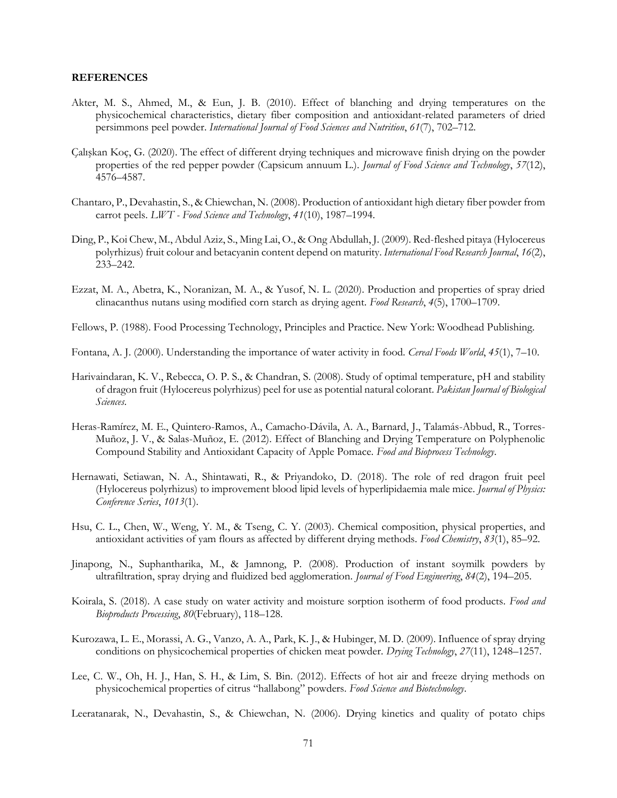#### **REFERENCES**

- Akter, M. S., Ahmed, M., & Eun, J. B. (2010). Effect of blanching and drying temperatures on the physicochemical characteristics, dietary fiber composition and antioxidant-related parameters of dried persimmons peel powder. *International Journal of Food Sciences and Nutrition*, *61*(7), 702–712.
- Çalışkan Koç, G. (2020). The effect of different drying techniques and microwave finish drying on the powder properties of the red pepper powder (Capsicum annuum L.). *Journal of Food Science and Technology*, *57*(12), 4576–4587.
- Chantaro, P., Devahastin, S., & Chiewchan, N. (2008). Production of antioxidant high dietary fiber powder from carrot peels. *LWT - Food Science and Technology*, *41*(10), 1987–1994.
- Ding, P., Koi Chew, M., Abdul Aziz, S., Ming Lai, O., & Ong Abdullah, J. (2009). Red-fleshed pitaya (Hylocereus polyrhizus) fruit colour and betacyanin content depend on maturity. *International Food Research Journal*, *16*(2), 233–242.
- Ezzat, M. A., Abetra, K., Noranizan, M. A., & Yusof, N. L. (2020). Production and properties of spray dried clinacanthus nutans using modified corn starch as drying agent. *Food Research*, *4*(5), 1700–1709.
- Fellows, P. (1988). Food Processing Technology, Principles and Practice. New York: Woodhead Publishing.
- Fontana, A. J. (2000). Understanding the importance of water activity in food. *Cereal Foods World*, *45*(1), 7–10.
- Harivaindaran, K. V., Rebecca, O. P. S., & Chandran, S. (2008). Study of optimal temperature, pH and stability of dragon fruit (Hylocereus polyrhizus) peel for use as potential natural colorant. *Pakistan Journal of Biological Sciences*.
- Heras-Ramírez, M. E., Quintero-Ramos, A., Camacho-Dávila, A. A., Barnard, J., Talamás-Abbud, R., Torres-Muñoz, J. V., & Salas-Muñoz, E. (2012). Effect of Blanching and Drying Temperature on Polyphenolic Compound Stability and Antioxidant Capacity of Apple Pomace. *Food and Bioprocess Technology*.
- Hernawati, Setiawan, N. A., Shintawati, R., & Priyandoko, D. (2018). The role of red dragon fruit peel (Hylocereus polyrhizus) to improvement blood lipid levels of hyperlipidaemia male mice. *Journal of Physics: Conference Series*, *1013*(1).
- Hsu, C. L., Chen, W., Weng, Y. M., & Tseng, C. Y. (2003). Chemical composition, physical properties, and antioxidant activities of yam flours as affected by different drying methods. *Food Chemistry*, *83*(1), 85–92.
- Jinapong, N., Suphantharika, M., & Jamnong, P. (2008). Production of instant soymilk powders by ultrafiltration, spray drying and fluidized bed agglomeration. *Journal of Food Engineering*, *84*(2), 194–205.
- Koirala, S. (2018). A case study on water activity and moisture sorption isotherm of food products. *Food and Bioproducts Processing*, *80*(February), 118–128.
- Kurozawa, L. E., Morassi, A. G., Vanzo, A. A., Park, K. J., & Hubinger, M. D. (2009). Influence of spray drying conditions on physicochemical properties of chicken meat powder. *Drying Technology*, *27*(11), 1248–1257.
- Lee, C. W., Oh, H. J., Han, S. H., & Lim, S. Bin. (2012). Effects of hot air and freeze drying methods on physicochemical properties of citrus "hallabong" powders. *Food Science and Biotechnology*.
- Leeratanarak, N., Devahastin, S., & Chiewchan, N. (2006). Drying kinetics and quality of potato chips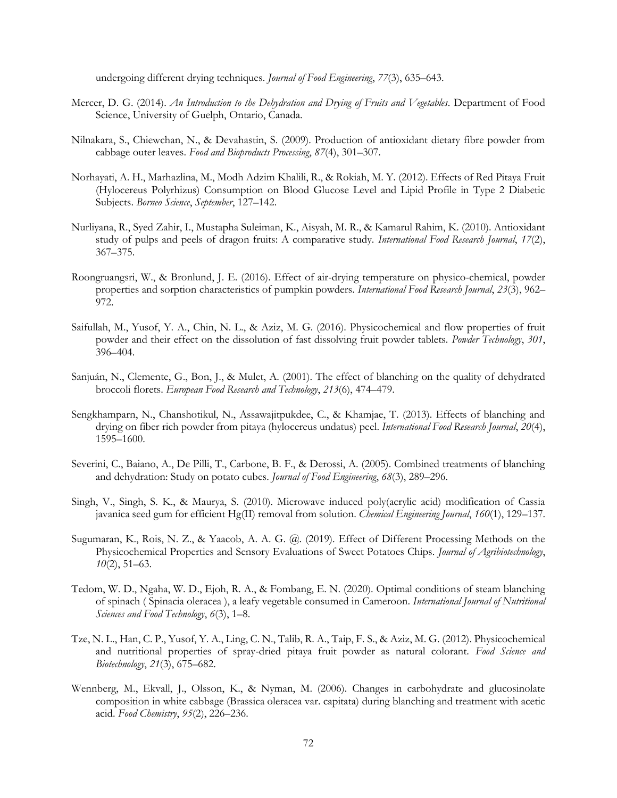undergoing different drying techniques. *Journal of Food Engineering*, *77*(3), 635–643.

- Mercer, D. G. (2014). *An Introduction to the Dehydration and Drying of Fruits and Vegetables*. Department of Food Science, University of Guelph, Ontario, Canada.
- Nilnakara, S., Chiewchan, N., & Devahastin, S. (2009). Production of antioxidant dietary fibre powder from cabbage outer leaves. *Food and Bioproducts Processing*, *87*(4), 301–307.
- Norhayati, A. H., Marhazlina, M., Modh Adzim Khalili, R., & Rokiah, M. Y. (2012). Effects of Red Pitaya Fruit (Hylocereus Polyrhizus) Consumption on Blood Glucose Level and Lipid Profile in Type 2 Diabetic Subjects. *Borneo Science*, *September*, 127–142.
- Nurliyana, R., Syed Zahir, I., Mustapha Suleiman, K., Aisyah, M. R., & Kamarul Rahim, K. (2010). Antioxidant study of pulps and peels of dragon fruits: A comparative study. *International Food Research Journal*, *17*(2), 367–375.
- Roongruangsri, W., & Bronlund, J. E. (2016). Effect of air-drying temperature on physico-chemical, powder properties and sorption characteristics of pumpkin powders. *International Food Research Journal*, *23*(3), 962– 972.
- Saifullah, M., Yusof, Y. A., Chin, N. L., & Aziz, M. G. (2016). Physicochemical and flow properties of fruit powder and their effect on the dissolution of fast dissolving fruit powder tablets. *Powder Technology*, *301*, 396–404.
- Sanjuán, N., Clemente, G., Bon, J., & Mulet, A. (2001). The effect of blanching on the quality of dehydrated broccoli florets. *European Food Research and Technology*, *213*(6), 474–479.
- Sengkhamparn, N., Chanshotikul, N., Assawajitpukdee, C., & Khamjae, T. (2013). Effects of blanching and drying on fiber rich powder from pitaya (hylocereus undatus) peel. *International Food Research Journal*, *20*(4), 1595–1600.
- Severini, C., Baiano, A., De Pilli, T., Carbone, B. F., & Derossi, A. (2005). Combined treatments of blanching and dehydration: Study on potato cubes. *Journal of Food Engineering*, *68*(3), 289–296.
- Singh, V., Singh, S. K., & Maurya, S. (2010). Microwave induced poly(acrylic acid) modification of Cassia javanica seed gum for efficient Hg(II) removal from solution. *Chemical Engineering Journal*, *160*(1), 129–137.
- Sugumaran, K., Rois, N. Z., & Yaacob, A. A. G. @. (2019). Effect of Different Processing Methods on the Physicochemical Properties and Sensory Evaluations of Sweet Potatoes Chips. *Journal of Agribiotechnology*, *10*(2), 51–63.
- Tedom, W. D., Ngaha, W. D., Ejoh, R. A., & Fombang, E. N. (2020). Optimal conditions of steam blanching of spinach ( Spinacia oleracea ), a leafy vegetable consumed in Cameroon. *International Journal of Nutritional Sciences and Food Technology*, *6*(3), 1–8.
- Tze, N. L., Han, C. P., Yusof, Y. A., Ling, C. N., Talib, R. A., Taip, F. S., & Aziz, M. G. (2012). Physicochemical and nutritional properties of spray-dried pitaya fruit powder as natural colorant. *Food Science and Biotechnology*, *21*(3), 675–682.
- Wennberg, M., Ekvall, J., Olsson, K., & Nyman, M. (2006). Changes in carbohydrate and glucosinolate composition in white cabbage (Brassica oleracea var. capitata) during blanching and treatment with acetic acid. *Food Chemistry*, *95*(2), 226–236.